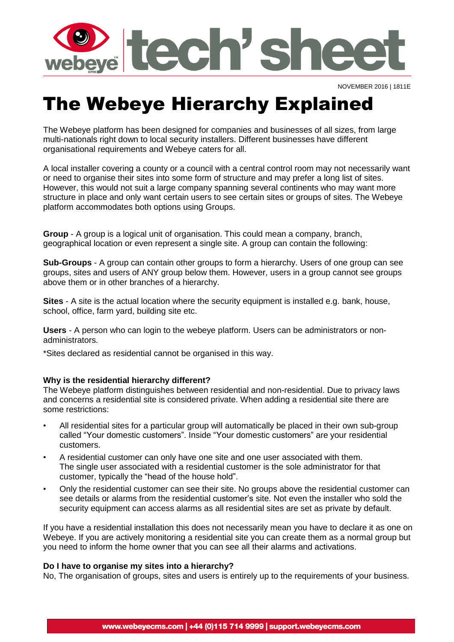

NOVEMBER 2016 | 1811E

## The Webeye Hierarchy Explained

The Webeye platform has been designed for companies and businesses of all sizes, from large multi-nationals right down to local security installers. Different businesses have different organisational requirements and Webeye caters for all.

A local installer covering a county or a council with a central control room may not necessarily want or need to organise their sites into some form of structure and may prefer a long list of sites. However, this would not suit a large company spanning several continents who may want more structure in place and only want certain users to see certain sites or groups of sites. The Webeye platform accommodates both options using Groups.

**Group** - A group is a logical unit of organisation. This could mean a company, branch, geographical location or even represent a single site. A group can contain the following:

**Sub-Groups** - A group can contain other groups to form a hierarchy. Users of one group can see groups, sites and users of ANY group below them. However, users in a group cannot see groups above them or in other branches of a hierarchy.

**Sites** - A site is the actual location where the security equipment is installed e.g. bank, house, school, office, farm yard, building site etc.

**Users** - A person who can login to the webeye platform. Users can be administrators or nonadministrators.

\*Sites declared as residential cannot be organised in this way.

## **Why is the residential hierarchy different?**

The Webeye platform distinguishes between residential and non-residential. Due to privacy laws and concerns a residential site is considered private. When adding a residential site there are some restrictions:

- All residential sites for a particular group will automatically be placed in their own sub-group called "Your domestic customers". Inside "Your domestic customers" are your residential customers.
- A residential customer can only have one site and one user associated with them. The single user associated with a residential customer is the sole administrator for that customer, typically the "head of the house hold".
- Only the residential customer can see their site. No groups above the residential customer can see details or alarms from the residential customer's site. Not even the installer who sold the security equipment can access alarms as all residential sites are set as private by default.

If you have a residential installation this does not necessarily mean you have to declare it as one on Webeye. If you are actively monitoring a residential site you can create them as a normal group but you need to inform the home owner that you can see all their alarms and activations.

## **Do I have to organise my sites into a hierarchy?**

No, The organisation of groups, sites and users is entirely up to the requirements of your business.